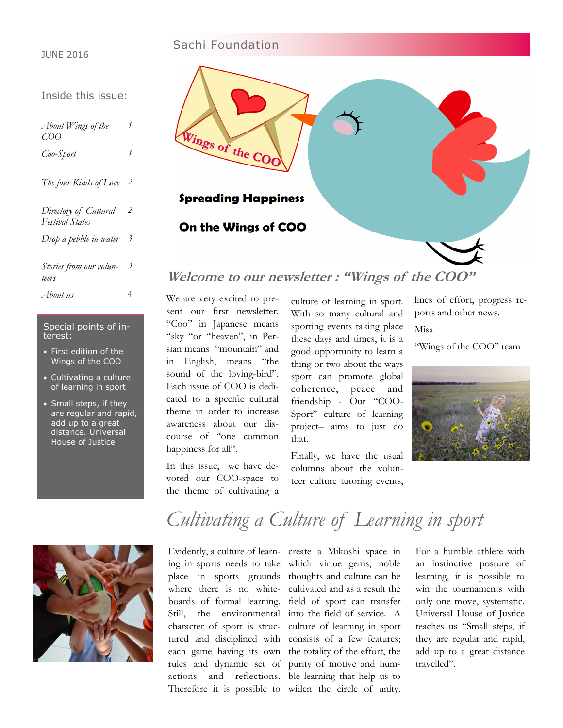### Sachi Foundation

#### JUNE 2016

#### Inside this issue:

| About Wings of the<br>COO                       |     |
|-------------------------------------------------|-----|
| Coo-Sport                                       | 1   |
| The four Kinds of Love                          | - 2 |
| Directory of Cultural<br><b>Festival States</b> | 2   |
| Drop a pebble in water                          | 3   |
| Stories from our volun-<br>teers                | 3   |
| About us                                        | 4   |

#### Special points of interest:

- First edition of the Wings of the COO
- Cultivating a culture of learning in sport
- Small steps, if they are regular and rapid, add up to a great distance. Universal House of Justice



### **Welcome to our newsletter : "Wings of the COO"**

We are very excited to present our first newsletter. "Coo" in Japanese means "sky "or "heaven", in Persian means "mountain" and in English, means "the sound of the loving-bird". Each issue of COO is dedicated to a specific cultural theme in order to increase awareness about our discourse of "one common happiness for all".

In this issue, we have devoted our COO-space to the theme of cultivating a culture of learning in sport. With so many cultural and sporting events taking place these days and times, it is a good opportunity to learn a thing or two about the ways sport can promote global coherence, peace and friendship - Our "COO-Sport" culture of learning project– aims to just do that.

Finally, we have the usual columns about the volunteer culture tutoring events, lines of effort, progress reports and other news.

Misa

"Wings of the COO" team





# *Cultivating a Culture of Learning in sport*

Evidently, a culture of learn-create a Mikoshi space in rules and dynamic set of purity of motive and hum-

ing in sports needs to take which virtue gems, noble place in sports grounds thoughts and culture can be where there is no white-cultivated and as a result the boards of formal learning. field of sport can transfer Still, the environmental into the field of service. A character of sport is struc-culture of learning in sport tured and disciplined with consists of a few features; each game having its own the totality of the effort, the actions and reflections. ble learning that help us to Therefore it is possible to widen the circle of unity. For a humble athlete with an instinctive posture of learning, it is possible to win the tournaments with only one move, systematic. Universal House of Justice teaches us "Small steps, if they are regular and rapid, add up to a great distance travelled".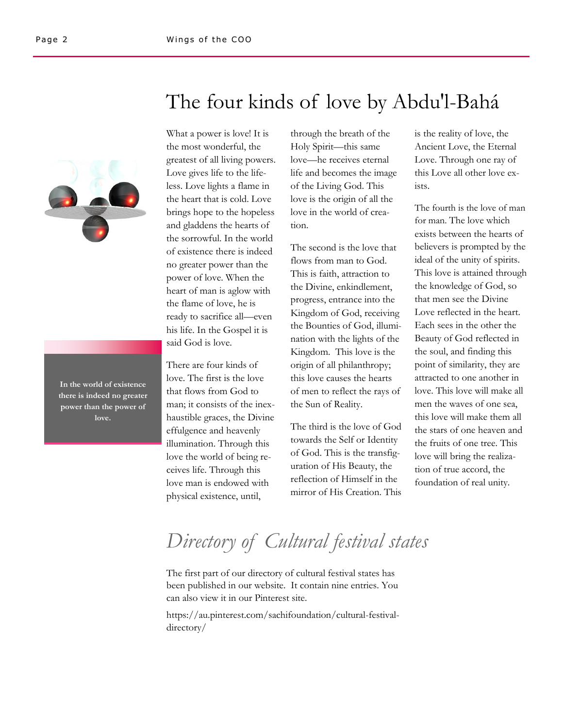

**In the world of existence there is indeed no greater power than the power of love.** 

## The four kinds of love by Abdu'l-Bahá

What a power is love! It is the most wonderful, the greatest of all living powers. Love gives life to the lifeless. Love lights a flame in the heart that is cold. Love brings hope to the hopeless and gladdens the hearts of the sorrowful. In the world of existence there is indeed no greater power than the power of love. When the heart of man is aglow with the flame of love, he is ready to sacrifice all—even his life. In the Gospel it is said God is love.

There are four kinds of love. The first is the love that flows from God to man; it consists of the inexhaustible graces, the Divine effulgence and heavenly illumination. Through this love the world of being receives life. Through this love man is endowed with physical existence, until,

through the breath of the Holy Spirit—this same love—he receives eternal life and becomes the image of the Living God. This love is the origin of all the love in the world of creation.

The second is the love that flows from man to God. This is faith, attraction to the Divine, enkindlement, progress, entrance into the Kingdom of God, receiving the Bounties of God, illumination with the lights of the Kingdom. This love is the origin of all philanthropy; this love causes the hearts of men to reflect the rays of the Sun of Reality.

The third is the love of God towards the Self or Identity of God. This is the transfiguration of His Beauty, the reflection of Himself in the mirror of His Creation. This is the reality of love, the Ancient Love, the Eternal Love. Through one ray of this Love all other love exists.

The fourth is the love of man for man. The love which exists between the hearts of believers is prompted by the ideal of the unity of spirits. This love is attained through the knowledge of God, so that men see the Divine Love reflected in the heart. Each sees in the other the Beauty of God reflected in the soul, and finding this point of similarity, they are attracted to one another in love. This love will make all men the waves of one sea, this love will make them all the stars of one heaven and the fruits of one tree. This love will bring the realization of true accord, the foundation of real unity.

# *Directory of Cultural festival states*

The first part of our directory of cultural festival states has been published in our website. It contain nine entries. You can also view it in our Pinterest site.

https://au.pinterest.com/sachifoundation/cultural-festivaldirectory/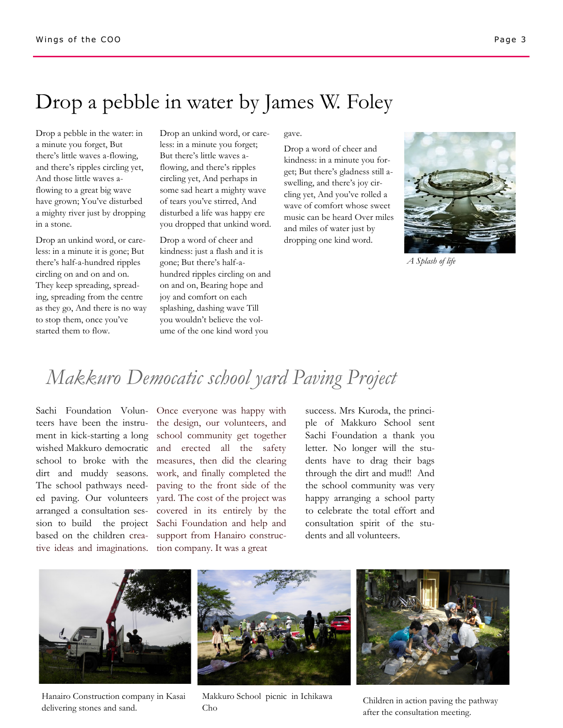## Drop a pebble in water by James W. Foley

Drop a pebble in the water: in a minute you forget, But there's little waves a-flowing, and there's ripples circling yet, And those little waves aflowing to a great big wave have grown; You've disturbed a mighty river just by dropping in a stone.

Drop an unkind word, or careless: in a minute it is gone; But there's half-a-hundred ripples circling on and on and on. They keep spreading, spreading, spreading from the centre as they go, And there is no way to stop them, once you've started them to flow.

Drop an unkind word, or careless: in a minute you forget; But there's little waves aflowing, and there's ripples circling yet, And perhaps in some sad heart a mighty wave of tears you've stirred, And disturbed a life was happy ere you dropped that unkind word.

Drop a word of cheer and kindness: just a flash and it is gone; But there's half-ahundred ripples circling on and on and on, Bearing hope and joy and comfort on each splashing, dashing wave Till you wouldn't believe the volume of the one kind word you

#### gave.

Drop a word of cheer and kindness: in a minute you forget; But there's gladness still aswelling, and there's joy circling yet, And you've rolled a wave of comfort whose sweet music can be heard Over miles and miles of water just by dropping one kind word.



*A Splash of life*

## *Makkuro Democatic school yard Paving Project*

Sachi Foundation Volunteers have been the instrument in kick-starting a long wished Makkuro democratic school to broke with the dirt and muddy seasons. The school pathways needed paving. Our volunteers arranged a consultation session to build the project based on the children creative ideas and imaginations.

Once everyone was happy with the design, our volunteers, and school community get together and erected all the safety measures, then did the clearing work, and finally completed the paving to the front side of the yard. The cost of the project was covered in its entirely by the Sachi Foundation and help and support from Hanairo construction company. It was a great

success. Mrs Kuroda, the principle of Makkuro School sent Sachi Foundation a thank you letter. No longer will the students have to drag their bags through the dirt and mud!! And the school community was very happy arranging a school party to celebrate the total effort and consultation spirit of the students and all volunteers.



Hanairo Construction company in Kasai delivering stones and sand.



Makkuro School picnic in Ichikawa Cho



Children in action paving the pathway after the consultation meeting.